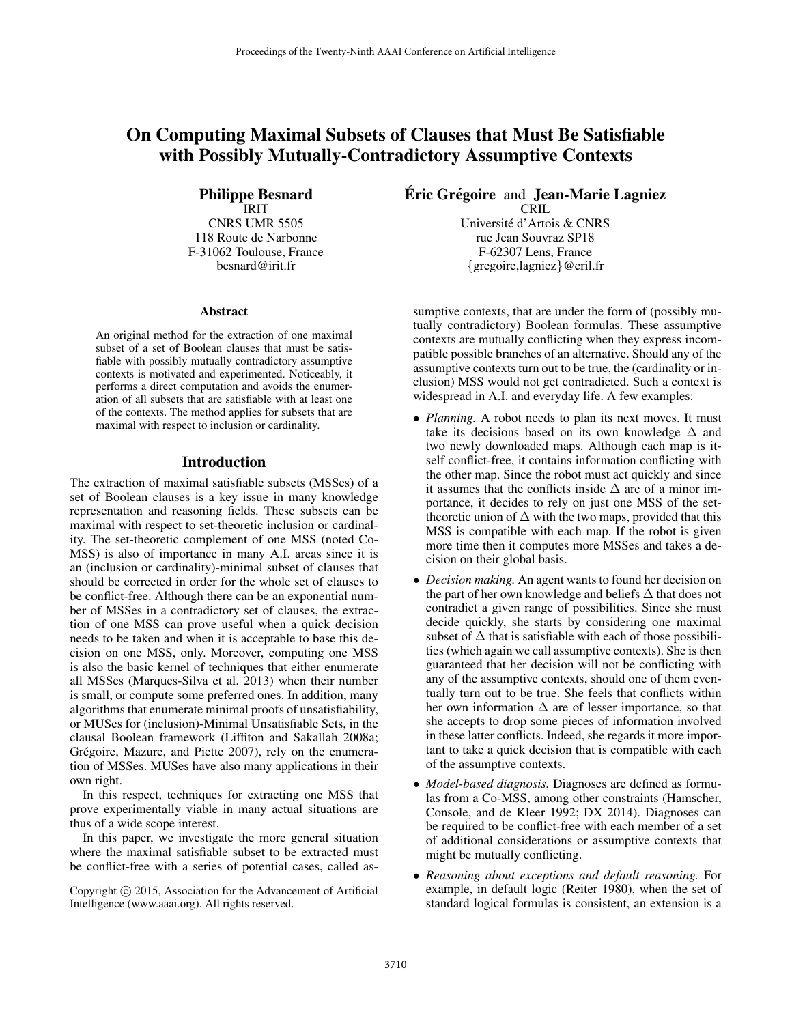# On Computing Maximal Subsets of Clauses that Must Be Satisfiable with Possibly Mutually-Contradictory Assumptive Contexts

Philippe Besnard IRIT CNRS UMR 5505 118 Route de Narbonne F-31062 Toulouse, France besnard@irit.fr

#### Abstract

An original method for the extraction of one maximal subset of a set of Boolean clauses that must be satisfiable with possibly mutually contradictory assumptive contexts is motivated and experimented. Noticeably, it performs a direct computation and avoids the enumeration of all subsets that are satisfiable with at least one of the contexts. The method applies for subsets that are maximal with respect to inclusion or cardinality.

### Introduction

The extraction of maximal satisfiable subsets (MSSes) of a set of Boolean clauses is a key issue in many knowledge representation and reasoning fields. These subsets can be maximal with respect to set-theoretic inclusion or cardinality. The set-theoretic complement of one MSS (noted Co-MSS) is also of importance in many A.I. areas since it is an (inclusion or cardinality)-minimal subset of clauses that should be corrected in order for the whole set of clauses to be conflict-free. Although there can be an exponential number of MSSes in a contradictory set of clauses, the extraction of one MSS can prove useful when a quick decision needs to be taken and when it is acceptable to base this decision on one MSS, only. Moreover, computing one MSS is also the basic kernel of techniques that either enumerate all MSSes (Marques-Silva et al. 2013) when their number is small, or compute some preferred ones. In addition, many algorithms that enumerate minimal proofs of unsatisfiability, or MUSes for (inclusion)-Minimal Unsatisfiable Sets, in the clausal Boolean framework (Liffiton and Sakallah 2008a; Grégoire, Mazure, and Piette 2007), rely on the enumeration of MSSes. MUSes have also many applications in their own right.

In this respect, techniques for extracting one MSS that prove experimentally viable in many actual situations are thus of a wide scope interest.

In this paper, we investigate the more general situation where the maximal satisfiable subset to be extracted must be conflict-free with a series of potential cases, called as**Éric Grégoire and Jean-Marie Lagniez** 

**CRIL** Universite d'Artois & CNRS ´ rue Jean Souvraz SP18 F-62307 Lens, France {gregoire,lagniez}@cril.fr

sumptive contexts, that are under the form of (possibly mutually contradictory) Boolean formulas. These assumptive contexts are mutually conflicting when they express incompatible possible branches of an alternative. Should any of the assumptive contexts turn out to be true, the (cardinality or inclusion) MSS would not get contradicted. Such a context is widespread in A.I. and everyday life. A few examples:

- *Planning*. A robot needs to plan its next moves. It must take its decisions based on its own knowledge  $\Delta$  and two newly downloaded maps. Although each map is itself conflict-free, it contains information conflicting with the other map. Since the robot must act quickly and since it assumes that the conflicts inside  $\Delta$  are of a minor importance, it decides to rely on just one MSS of the settheoretic union of  $\Delta$  with the two maps, provided that this MSS is compatible with each map. If the robot is given more time then it computes more MSSes and takes a decision on their global basis.
- *Decision making.* An agent wants to found her decision on the part of her own knowledge and beliefs ∆ that does not contradict a given range of possibilities. Since she must decide quickly, she starts by considering one maximal subset of  $\Delta$  that is satisfiable with each of those possibilities (which again we call assumptive contexts). She is then guaranteed that her decision will not be conflicting with any of the assumptive contexts, should one of them eventually turn out to be true. She feels that conflicts within her own information  $\Delta$  are of lesser importance, so that she accepts to drop some pieces of information involved in these latter conflicts. Indeed, she regards it more important to take a quick decision that is compatible with each of the assumptive contexts.
- *Model-based diagnosis.* Diagnoses are defined as formulas from a Co-MSS, among other constraints (Hamscher, Console, and de Kleer 1992; DX 2014). Diagnoses can be required to be conflict-free with each member of a set of additional considerations or assumptive contexts that might be mutually conflicting.
- *Reasoning about exceptions and default reasoning.* For example, in default logic (Reiter 1980), when the set of standard logical formulas is consistent, an extension is a

Copyright (c) 2015, Association for the Advancement of Artificial Intelligence (www.aaai.org). All rights reserved.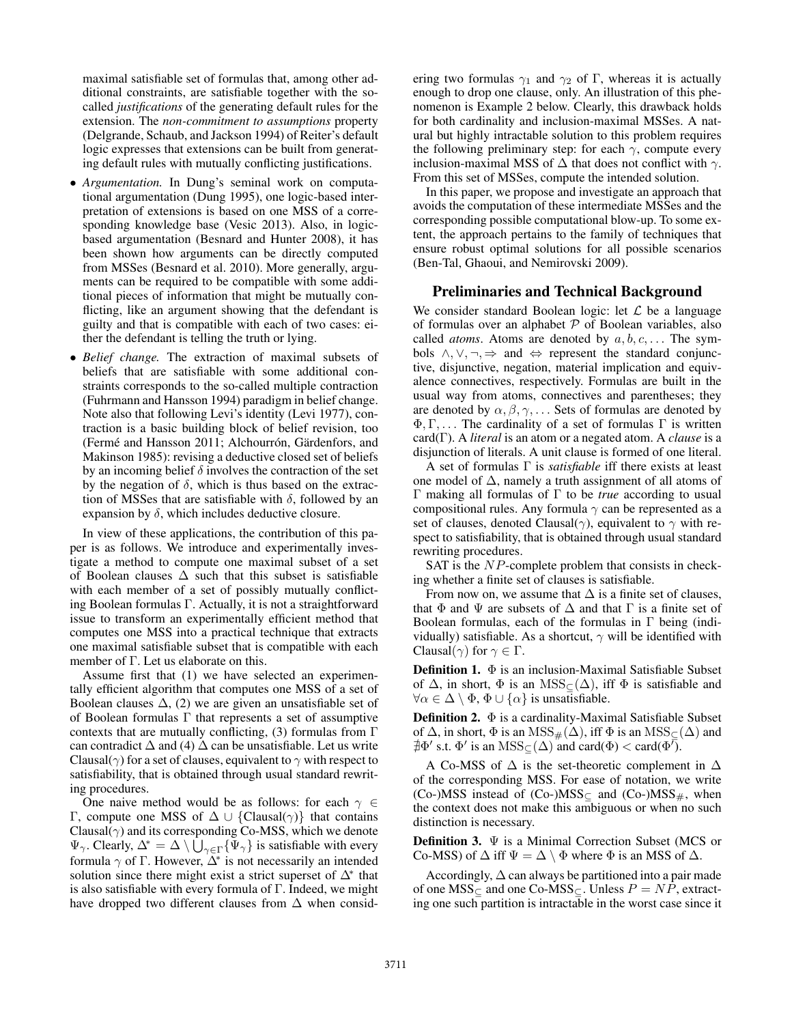maximal satisfiable set of formulas that, among other additional constraints, are satisfiable together with the socalled *justifications* of the generating default rules for the extension. The *non-commitment to assumptions* property (Delgrande, Schaub, and Jackson 1994) of Reiter's default logic expresses that extensions can be built from generating default rules with mutually conflicting justifications.

- *Argumentation.* In Dung's seminal work on computational argumentation (Dung 1995), one logic-based interpretation of extensions is based on one MSS of a corresponding knowledge base (Vesic 2013). Also, in logicbased argumentation (Besnard and Hunter 2008), it has been shown how arguments can be directly computed from MSSes (Besnard et al. 2010). More generally, arguments can be required to be compatible with some additional pieces of information that might be mutually conflicting, like an argument showing that the defendant is guilty and that is compatible with each of two cases: either the defendant is telling the truth or lying.
- *Belief change.* The extraction of maximal subsets of beliefs that are satisfiable with some additional constraints corresponds to the so-called multiple contraction (Fuhrmann and Hansson 1994) paradigm in belief change. Note also that following Levi's identity (Levi 1977), contraction is a basic building block of belief revision, too (Fermé and Hansson 2011; Alchourrón, Gärdenfors, and Makinson 1985): revising a deductive closed set of beliefs by an incoming belief  $\delta$  involves the contraction of the set by the negation of  $\delta$ , which is thus based on the extraction of MSSes that are satisfiable with  $\delta$ , followed by an expansion by  $\delta$ , which includes deductive closure.

In view of these applications, the contribution of this paper is as follows. We introduce and experimentally investigate a method to compute one maximal subset of a set of Boolean clauses  $\Delta$  such that this subset is satisfiable with each member of a set of possibly mutually conflicting Boolean formulas Γ. Actually, it is not a straightforward issue to transform an experimentally efficient method that computes one MSS into a practical technique that extracts one maximal satisfiable subset that is compatible with each member of Γ. Let us elaborate on this.

Assume first that (1) we have selected an experimentally efficient algorithm that computes one MSS of a set of Boolean clauses  $\Delta$ , (2) we are given an unsatisfiable set of of Boolean formulas Γ that represents a set of assumptive contexts that are mutually conflicting, (3) formulas from  $\Gamma$ can contradict  $\Delta$  and (4)  $\Delta$  can be unsatisfiable. Let us write Clausal( $\gamma$ ) for a set of clauses, equivalent to  $\gamma$  with respect to satisfiability, that is obtained through usual standard rewriting procedures.

One naive method would be as follows: for each  $\gamma \in$ Γ, compute one MSS of  $Δ ∪ {Clausal(γ)}$  that contains Clausal $(\gamma)$  and its corresponding Co-MSS, which we denote  $\Psi_{\gamma}$ . Clearly,  $\Delta^* = \Delta \setminus \bigcup_{\gamma \in \Gamma} {\{\Psi_{\gamma}\}}$  is satisfiable with every formula  $\gamma$  of  $\Gamma$ . However,  $\overline{\Delta^*}$  is not necessarily an intended solution since there might exist a strict superset of  $\Delta^*$  that is also satisfiable with every formula of Γ. Indeed, we might have dropped two different clauses from  $\Delta$  when consid-

ering two formulas  $\gamma_1$  and  $\gamma_2$  of Γ, whereas it is actually enough to drop one clause, only. An illustration of this phenomenon is Example 2 below. Clearly, this drawback holds for both cardinality and inclusion-maximal MSSes. A natural but highly intractable solution to this problem requires the following preliminary step: for each  $\gamma$ , compute every inclusion-maximal MSS of  $\Delta$  that does not conflict with  $\gamma$ . From this set of MSSes, compute the intended solution.

In this paper, we propose and investigate an approach that avoids the computation of these intermediate MSSes and the corresponding possible computational blow-up. To some extent, the approach pertains to the family of techniques that ensure robust optimal solutions for all possible scenarios (Ben-Tal, Ghaoui, and Nemirovski 2009).

### Preliminaries and Technical Background

We consider standard Boolean logic: let  $\mathcal L$  be a language of formulas over an alphabet  $P$  of Boolean variables, also called *atoms*. Atoms are denoted by  $a, b, c, \ldots$  The symbols  $\land, \lor, \neg, \Rightarrow$  and  $\Leftrightarrow$  represent the standard conjunctive, disjunctive, negation, material implication and equivalence connectives, respectively. Formulas are built in the usual way from atoms, connectives and parentheses; they are denoted by  $\alpha, \beta, \gamma, \ldots$  Sets of formulas are denoted by  $\Phi, \Gamma, \ldots$  The cardinality of a set of formulas  $\Gamma$  is written card(Γ). A *literal* is an atom or a negated atom. A *clause* is a disjunction of literals. A unit clause is formed of one literal.

A set of formulas Γ is *satisfiable* iff there exists at least one model of  $\Delta$ , namely a truth assignment of all atoms of Γ making all formulas of Γ to be *true* according to usual compositional rules. Any formula  $\gamma$  can be represented as a set of clauses, denoted Clausal( $\gamma$ ), equivalent to  $\gamma$  with respect to satisfiability, that is obtained through usual standard rewriting procedures.

SAT is the NP-complete problem that consists in checking whether a finite set of clauses is satisfiable.

From now on, we assume that  $\Delta$  is a finite set of clauses, that  $\Phi$  and  $\Psi$  are subsets of  $\Delta$  and that  $\Gamma$  is a finite set of Boolean formulas, each of the formulas in  $\Gamma$  being (individually) satisfiable. As a shortcut,  $\gamma$  will be identified with Clausal( $\gamma$ ) for  $\gamma \in \Gamma$ .

**Definition 1.**  $\Phi$  is an inclusion-Maximal Satisfiable Subset of  $\Delta$ , in short,  $\Phi$  is an MSS<sub>⊂</sub>( $\Delta$ ), iff  $\Phi$  is satisfiable and  $\forall \alpha \in \Delta \setminus \Phi$ ,  $\Phi \cup \{\alpha\}$  is unsatisfiable.

**Definition 2.**  $\Phi$  is a cardinality-Maximal Satisfiable Subset of  $\Delta$ , in short,  $\Phi$  is an  $MSS_{#}(\Delta)$ , iff  $\Phi$  is an  $MSS_{\subset}(\Delta)$  and  $\exists \Phi'$  s.t.  $\Phi'$  is an  $\text{MSS}_{\subseteq}(\Delta)$  and card( $\Phi$ ) < card( $\Phi'$ ).

A Co-MSS of  $\Delta$  is the set-theoretic complement in  $\Delta$ of the corresponding MSS. For ease of notation, we write (Co-)MSS instead of (Co-)MSS $\subset$  and (Co-)MSS $_{\#}$ , when the context does not make this ambiguous or when no such distinction is necessary.

Definition 3. Ψ is a Minimal Correction Subset (MCS or Co-MSS) of  $\Delta$  iff  $\Psi = \Delta \setminus \Phi$  where  $\Phi$  is an MSS of  $\Delta$ .

Accordingly,  $\Delta$  can always be partitioned into a pair made of one MSS $\subset$  and one Co-MSS $\subset$ . Unless  $P = NP$ , extracting one such partition is intractable in the worst case since it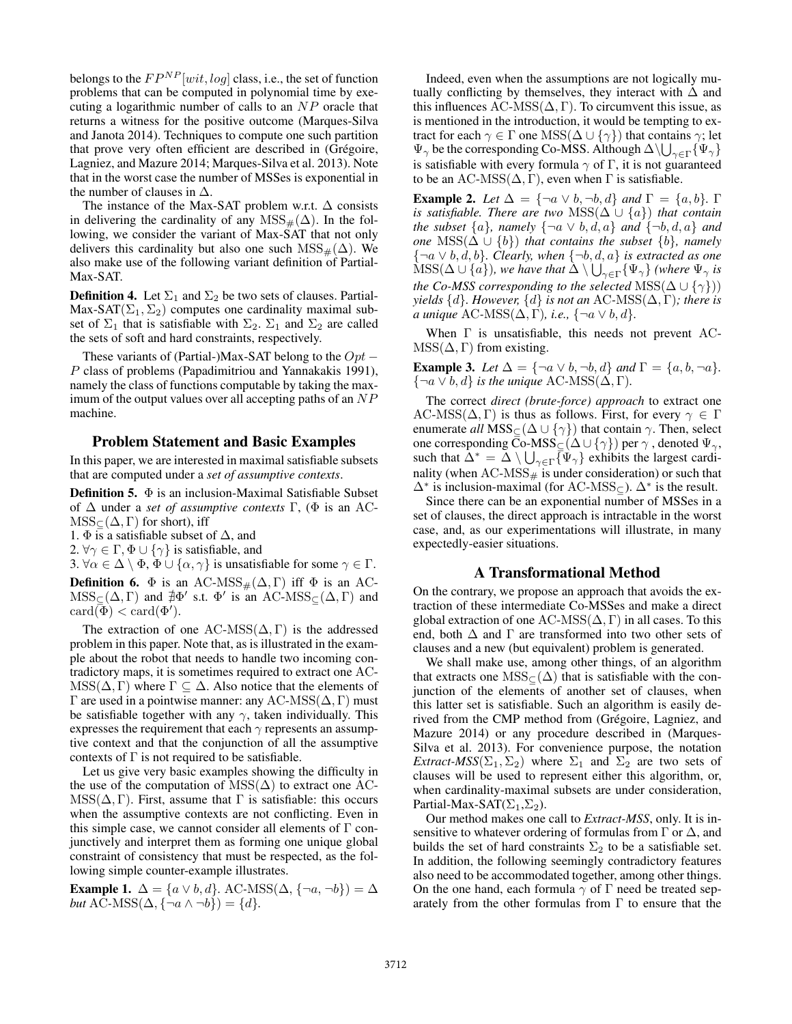belongs to the  $FP^{NP}[wit, log]$  class, i.e., the set of function problems that can be computed in polynomial time by executing a logarithmic number of calls to an NP oracle that returns a witness for the positive outcome (Marques-Silva and Janota 2014). Techniques to compute one such partition that prove very often efficient are described in (Grégoire, Lagniez, and Mazure 2014; Marques-Silva et al. 2013). Note that in the worst case the number of MSSes is exponential in the number of clauses in  $\Delta$ .

The instance of the Max-SAT problem w.r.t.  $\Delta$  consists in delivering the cardinality of any  $MSS_{#}(\Delta)$ . In the following, we consider the variant of Max-SAT that not only delivers this cardinality but also one such MSS $_{#}(\Delta)$ . We also make use of the following variant definition of Partial-Max-SAT.

**Definition 4.** Let  $\Sigma_1$  and  $\Sigma_2$  be two sets of clauses. Partial-Max-SAT( $\Sigma_1$ ,  $\Sigma_2$ ) computes one cardinality maximal subset of  $\Sigma_1$  that is satisfiable with  $\Sigma_2$ .  $\Sigma_1$  and  $\Sigma_2$  are called the sets of soft and hard constraints, respectively.

These variants of (Partial-)Max-SAT belong to the  $Opt -$ P class of problems (Papadimitriou and Yannakakis 1991), namely the class of functions computable by taking the maximum of the output values over all accepting paths of an  $NP$ machine.

#### Problem Statement and Basic Examples

In this paper, we are interested in maximal satisfiable subsets that are computed under a *set of assumptive contexts*.

**Definition 5.**  $\Phi$  is an inclusion-Maximal Satisfiable Subset of ∆ under a *set of assumptive contexts* Γ, (Φ is an AC- $MSS_{\subset}(\Delta,\Gamma)$  for short), iff

1.  $\Phi$  is a satisfiable subset of  $\Delta$ , and

2.  $\forall \gamma \in \Gamma, \Phi \cup \{\gamma\}$  is satisfiable, and

3.  $\forall \alpha \in \Delta \setminus \Phi$ ,  $\Phi \cup \{\alpha, \gamma\}$  is unsatisfiable for some  $\gamma \in \Gamma$ .

**Definition 6.**  $\Phi$  is an AC-MSS<sub>#</sub>( $\Delta$ , Γ) iff  $\Phi$  is an AC- $MSS_{\subseteq}(\Delta,\Gamma)$  and  $\sharp\Phi'$  s.t.  $\Phi'$  is an AC-MSS<sub> $\subseteq$ </sub>( $\Delta,\Gamma$ ) and  $\operatorname{card}(\overline{\Phi}) < \operatorname{card}(\Phi').$ 

The extraction of one AC-MSS( $\Delta$ , Γ) is the addressed problem in this paper. Note that, as is illustrated in the example about the robot that needs to handle two incoming contradictory maps, it is sometimes required to extract one AC- $MSS(\Delta, \Gamma)$  where  $\Gamma \subseteq \Delta$ . Also notice that the elements of Γ are used in a pointwise manner: any AC-MSS(∆, Γ) must be satisfiable together with any  $\gamma$ , taken individually. This expresses the requirement that each  $\gamma$  represents an assumptive context and that the conjunction of all the assumptive contexts of  $\Gamma$  is not required to be satisfiable.

Let us give very basic examples showing the difficulty in the use of the computation of MSS( $\Delta$ ) to extract one AC- $MSS(\Delta, \Gamma)$ . First, assume that  $\Gamma$  is satisfiable: this occurs when the assumptive contexts are not conflicting. Even in this simple case, we cannot consider all elements of  $\Gamma$  conjunctively and interpret them as forming one unique global constraint of consistency that must be respected, as the following simple counter-example illustrates.

**Example 1.**  $\Delta = \{a \lor b, d\}$ . AC-MSS( $\Delta$ ,  $\{\neg a, \neg b\}$ ) =  $\Delta$ *but* AC-MSS( $\Delta$ , {¬ $a \wedge \neg b$ }) = { $d$ }.

Indeed, even when the assumptions are not logically mutually conflicting by themselves, they interact with  $\Delta$  and this influences AC-MSS( $\Delta$ , Γ). To circumvent this issue, as is mentioned in the introduction, it would be tempting to extract for each  $\gamma \in \Gamma$  one  $\text{MSS}(\Delta \cup \{\gamma\})$  that contains  $\gamma$ ; let  $\Psi_\gamma$  be the corresponding Co-MSS. Although  $\Delta\backslash\bigcup_{\gamma\in\Gamma}\{\Psi_\gamma\}$ is satisfiable with every formula  $\gamma$  of Γ, it is not guaranteed to be an AC-MSS( $\Delta$ , Γ), even when Γ is satisfiable.

**Example 2.** *Let*  $\Delta = {\neg a \lor b, \neg b, d}$  *and*  $\Gamma = {a, b}$ *.*  $\Gamma$ *is satisfiable. There are two* MSS( $\Delta \cup \{a\}$ ) *that contain the subset*  $\{a\}$ *, namely*  $\{\neg a \lor b, d, a\}$  *and*  $\{\neg b, d, a\}$  *and one* MSS( $\Delta \cup \{b\}$ *) that contains the subset*  $\{b\}$ *, namely* {¬a ∨ b, d, b}*. Clearly, when* {¬b, d, a} *is extracted as one*  $\mathrm{MSS}(\Delta\cup\{a\}),$  we have that  $\Delta\setminus\bigcup_{\gamma\in\Gamma}\{\Psi_\gamma\}$  (where  $\Psi_\gamma$  is *the Co-MSS corresponding to the selected* MSS( $\Delta \cup \{\gamma\})$ ) *yields*  $\{d\}$ *. However,*  $\{d\}$  *is not an* AC-MSS( $\Delta$ , Γ)*; there is a unique* AC-MSS( $\Delta$ , Γ)*, i.e.*,  $\{\neg a \lor b, d\}$ *.* 

When Γ is unsatisfiable, this needs not prevent AC- $MSS(\Delta, \Gamma)$  from existing.

**Example 3.** *Let*  $\Delta = \{\neg a \lor b, \neg b, d\}$  *and*  $\Gamma = \{a, b, \neg a\}$ *.*  $\{\neg a \lor b, d\}$  *is the unique* AC-MSS( $\Delta, \Gamma$ ).

The correct *direct (brute-force) approach* to extract one AC-MSS( $\Delta, \Gamma$ ) is thus as follows. First, for every  $\gamma \in \Gamma$ enumerate *all*  $MSS_{\subseteq}(\Delta \cup {\gamma})$  that contain  $\gamma$ . Then, select one corresponding Co-MSS $\subseteq$  ( $\Delta$   $\cup$   $\{\gamma\}$ ) per  $\gamma$  , denoted  $\Psi_\gamma,$ such that  $\tilde{\Delta}^* = \tilde{\Delta} \setminus \bigcup_{\gamma \in \Gamma} {\overline{\{\Psi}}_{\gamma}\}$  exhibits the largest cardinality (when  $AC\text{-MSS}_{\#}$  is under consideration) or such that  $\Delta^*$  is inclusion-maximal (for AC-MSS<sub>⊆</sub>).  $\Delta^*$  is the result.

Since there can be an exponential number of MSSes in a set of clauses, the direct approach is intractable in the worst case, and, as our experimentations will illustrate, in many expectedly-easier situations.

#### A Transformational Method

On the contrary, we propose an approach that avoids the extraction of these intermediate Co-MSSes and make a direct global extraction of one AC-MSS( $\Delta$ , Γ) in all cases. To this end, both  $\Delta$  and  $\Gamma$  are transformed into two other sets of clauses and a new (but equivalent) problem is generated.

We shall make use, among other things, of an algorithm that extracts one  $MSS_{\subset}(\Delta)$  that is satisfiable with the conjunction of the elements of another set of clauses, when this latter set is satisfiable. Such an algorithm is easily derived from the CMP method from (Grégoire, Lagniez, and Mazure 2014) or any procedure described in (Marques-Silva et al. 2013). For convenience purpose, the notation *Extract-MSS*( $\Sigma_1$ ,  $\Sigma_2$ ) where  $\Sigma_1$  and  $\Sigma_2$  are two sets of clauses will be used to represent either this algorithm, or, when cardinality-maximal subsets are under consideration, Partial-Max-SAT $(\Sigma_1,\Sigma_2)$ .

Our method makes one call to *Extract-MSS*, only. It is insensitive to whatever ordering of formulas from  $\Gamma$  or  $\Delta$ , and builds the set of hard constraints  $\Sigma_2$  to be a satisfiable set. In addition, the following seemingly contradictory features also need to be accommodated together, among other things. On the one hand, each formula  $\gamma$  of  $\Gamma$  need be treated separately from the other formulas from  $\Gamma$  to ensure that the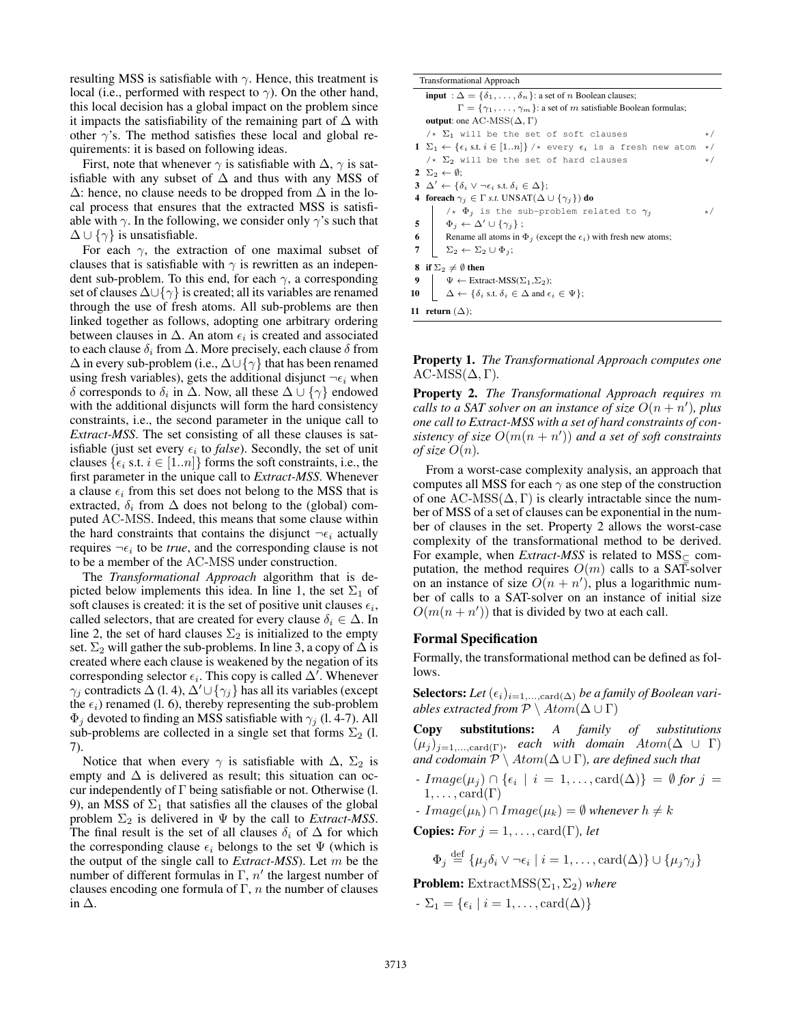resulting MSS is satisfiable with  $\gamma$ . Hence, this treatment is local (i.e., performed with respect to  $\gamma$ ). On the other hand, this local decision has a global impact on the problem since it impacts the satisfiability of the remaining part of  $\Delta$  with other  $\gamma$ 's. The method satisfies these local and global requirements: it is based on following ideas.

First, note that whenever  $\gamma$  is satisfiable with  $\Delta$ ,  $\gamma$  is satisfiable with any subset of  $\Delta$  and thus with any MSS of  $\Delta$ : hence, no clause needs to be dropped from  $\Delta$  in the local process that ensures that the extracted MSS is satisfiable with  $\gamma$ . In the following, we consider only  $\gamma$ 's such that  $\Delta \cup {\gamma}$  is unsatisfiable.

For each  $\gamma$ , the extraction of one maximal subset of clauses that is satisfiable with  $\gamma$  is rewritten as an independent sub-problem. To this end, for each  $\gamma$ , a corresponding set of clauses  $\Delta \cup {\gamma}$  is created; all its variables are renamed through the use of fresh atoms. All sub-problems are then linked together as follows, adopting one arbitrary ordering between clauses in  $\Delta$ . An atom  $\epsilon_i$  is created and associated to each clause  $\delta_i$  from  $\Delta$ . More precisely, each clause  $\delta$  from  $\Delta$  in every sub-problem (i.e.,  $\Delta \cup {\gamma}$  that has been renamed using fresh variables), gets the additional disjunct  $\neg \epsilon_i$  when δ corresponds to  $\delta_i$  in  $\Delta$ . Now, all these  $\Delta \cup {\gamma}$  endowed with the additional disjuncts will form the hard consistency constraints, i.e., the second parameter in the unique call to *Extract-MSS*. The set consisting of all these clauses is satisfiable (just set every  $\epsilon_i$  to *false*). Secondly, the set of unit clauses  $\{ \epsilon_i \text{ s.t. } i \in [1..n] \}$  forms the soft constraints, i.e., the first parameter in the unique call to *Extract-MSS*. Whenever a clause  $\epsilon_i$  from this set does not belong to the MSS that is extracted,  $\delta_i$  from  $\Delta$  does not belong to the (global) computed AC-MSS. Indeed, this means that some clause within the hard constraints that contains the disjunct  $\neg \epsilon_i$  actually requires  $\neg \epsilon_i$  to be *true*, and the corresponding clause is not to be a member of the AC-MSS under construction.

The *Transformational Approach* algorithm that is depicted below implements this idea. In line 1, the set  $\Sigma_1$  of soft clauses is created: it is the set of positive unit clauses  $\epsilon_i$ , called selectors, that are created for every clause  $\delta_i \in \Delta$ . In line 2, the set of hard clauses  $\Sigma_2$  is initialized to the empty set.  $\Sigma_2$  will gather the sub-problems. In line 3, a copy of  $\Delta$  is created where each clause is weakened by the negation of its corresponding selector  $\epsilon_i$ . This copy is called  $\Delta'$ . Whenever  $\gamma_i$  contradicts  $\Delta$  (l. 4),  $\Delta' \cup {\gamma_i}$  has all its variables (except the  $\epsilon_i$ ) renamed (l. 6), thereby representing the sub-problem  $\Phi_j$  devoted to finding an MSS satisfiable with  $\gamma_j$  (l. 4-7). All sub-problems are collected in a single set that forms  $\Sigma_2$  (l. 7).

Notice that when every  $\gamma$  is satisfiable with  $\Delta$ ,  $\Sigma_2$  is empty and  $\Delta$  is delivered as result; this situation can occur independently of  $\Gamma$  being satisfiable or not. Otherwise (l. 9), an MSS of  $\Sigma_1$  that satisfies all the clauses of the global problem  $\Sigma_2$  is delivered in  $\Psi$  by the call to *Extract-MSS*. The final result is the set of all clauses  $\delta_i$  of  $\Delta$  for which the corresponding clause  $\epsilon_i$  belongs to the set  $\Psi$  (which is the output of the single call to *Extract-MSS*). Let m be the number of different formulas in  $\Gamma$ ,  $n'$  the largest number of clauses encoding one formula of  $\Gamma$ , *n* the number of clauses in ∆.

| <b>Transformational Approach</b>                                                                                        |           |  |  |  |  |  |  |  |  |  |  |
|-------------------------------------------------------------------------------------------------------------------------|-----------|--|--|--|--|--|--|--|--|--|--|
| <b>input</b> : $\Delta = {\delta_1, \ldots, \delta_n}$ : a set of <i>n</i> Boolean clauses;                             |           |  |  |  |  |  |  |  |  |  |  |
| $\Gamma = {\gamma_1, \ldots, \gamma_m}$ : a set of m satisfiable Boolean formulas;                                      |           |  |  |  |  |  |  |  |  |  |  |
| <b>output:</b> one AC-MSS( $\Delta$ , $\Gamma$ )                                                                        |           |  |  |  |  |  |  |  |  |  |  |
| $/\star$ $\Sigma_1$ will be the set of soft clauses                                                                     | $\star/$  |  |  |  |  |  |  |  |  |  |  |
| $1 \Sigma_1 \leftarrow {\epsilon_i \text{ s.t. } i \in [1n]} \rightarrow \infty$ every $\epsilon_i$ is a fresh new atom |           |  |  |  |  |  |  |  |  |  |  |
| $/\star$ $\Sigma_2$ will be the set of hard clauses                                                                     |           |  |  |  |  |  |  |  |  |  |  |
| $2 \Sigma_2 \leftarrow \emptyset$ :                                                                                     |           |  |  |  |  |  |  |  |  |  |  |
| 3 $\Delta' \leftarrow \{\delta_i \vee \neg \epsilon_i \text{ s.t. } \delta_i \in \Delta\};$                             |           |  |  |  |  |  |  |  |  |  |  |
| 4 foreach $\gamma_i \in \Gamma$ <i>s.t.</i> UNSAT( $\Delta \cup {\gamma_i}$ ) do                                        |           |  |  |  |  |  |  |  |  |  |  |
| $\lambda * \Phi_j$ is the sub-problem related to $\gamma_j$                                                             | $\star$ / |  |  |  |  |  |  |  |  |  |  |
| 5 $\Phi_j \leftarrow \Delta' \cup \{\gamma_j\};$                                                                        |           |  |  |  |  |  |  |  |  |  |  |
| 6 Rename all atoms in $\Phi_j$ (except the $\epsilon_i$ ) with fresh new atoms;                                         |           |  |  |  |  |  |  |  |  |  |  |
| $\big  \quad \Sigma_2 \leftarrow \Sigma_2 \cup \Phi_j;$<br>7                                                            |           |  |  |  |  |  |  |  |  |  |  |
| if $\Sigma_2 \neq \emptyset$ then<br>8                                                                                  |           |  |  |  |  |  |  |  |  |  |  |
| 9<br>$\Psi \leftarrow$ Extract-MSS( $\Sigma_1$ , $\Sigma_2$ );                                                          |           |  |  |  |  |  |  |  |  |  |  |
| $\Delta \leftarrow \{\delta_i \text{ s.t. } \delta_i \in \Delta \text{ and } \epsilon_i \in \Psi\};$<br>10              |           |  |  |  |  |  |  |  |  |  |  |
| 11 return $(\Delta)$ ;                                                                                                  |           |  |  |  |  |  |  |  |  |  |  |

Property 1. *The Transformational Approach computes one*  $AC$ -MSS( $\Delta$ , Γ).

Property 2. *The Transformational Approach requires* m *calls to a SAT solver on an instance of size*  $O(n + n')$ , plus *one call to Extract-MSS with a set of hard constraints of consistency of size* O(m(n + n 0 )) *and a set of soft constraints of size*  $O(n)$ .

From a worst-case complexity analysis, an approach that computes all MSS for each  $\gamma$  as one step of the construction of one  $AC\text{-MSS}(\Delta, \Gamma)$  is clearly intractable since the number of MSS of a set of clauses can be exponential in the number of clauses in the set. Property 2 allows the worst-case complexity of the transformational method to be derived. For example, when *Extract-MSS* is related to  $MSS<sub>C</sub>$  computation, the method requires  $O(m)$  calls to a SAT-solver on an instance of size  $\widehat{O}(n + n')$ , plus a logarithmic number of calls to a SAT-solver on an instance of initial size  $O(m(n + n'))$  that is divided by two at each call.

# Formal Specification

Formally, the transformational method can be defined as follows.

Selectors: Let  $(\epsilon_i)_{i=1,\dots,\text{card}(\Delta)}$  *be a family of Boolean variables extracted from*  $\mathcal{P} \setminus Atom(\Delta \cup \Gamma)$ 

Copy substitutions: *A family of substitutions*  $(\mu_j)_{j=1,\ldots,\text{card}(\Gamma)}$ *, each with domain Atom*( $\Delta \cup \Gamma$ ) *and codomain*  $P \setminus Atom(\Delta \cup \Gamma)$ *, are defined such that* 

- *-* Image( $\mu_j$ ) ∩ { $\epsilon_i$  | i = 1,..., card( $\Delta$ )} = Ø *for* j =  $1, \ldots, \text{card}(\Gamma)$
- *-*  $Image(\mu_h) ∩ Image(\mu_k) = ∅ whenever h \neq k$

**Copies:** *For*  $j = 1, \ldots, \text{card}(\Gamma)$ *, let* 

$$
\Phi_j \stackrel{\text{def}}{=} \{ \mu_j \delta_i \vee \neg \epsilon_i \mid i = 1, \dots, \text{card}(\Delta) \} \cup \{ \mu_j \gamma_j \}
$$

**Problem:** ExtractMSS( $\Sigma_1$ ,  $\Sigma_2$ ) *where* 

- 
$$
\Sigma_1 = {\epsilon_i \mid i = 1, ..., \text{card}(\Delta)}
$$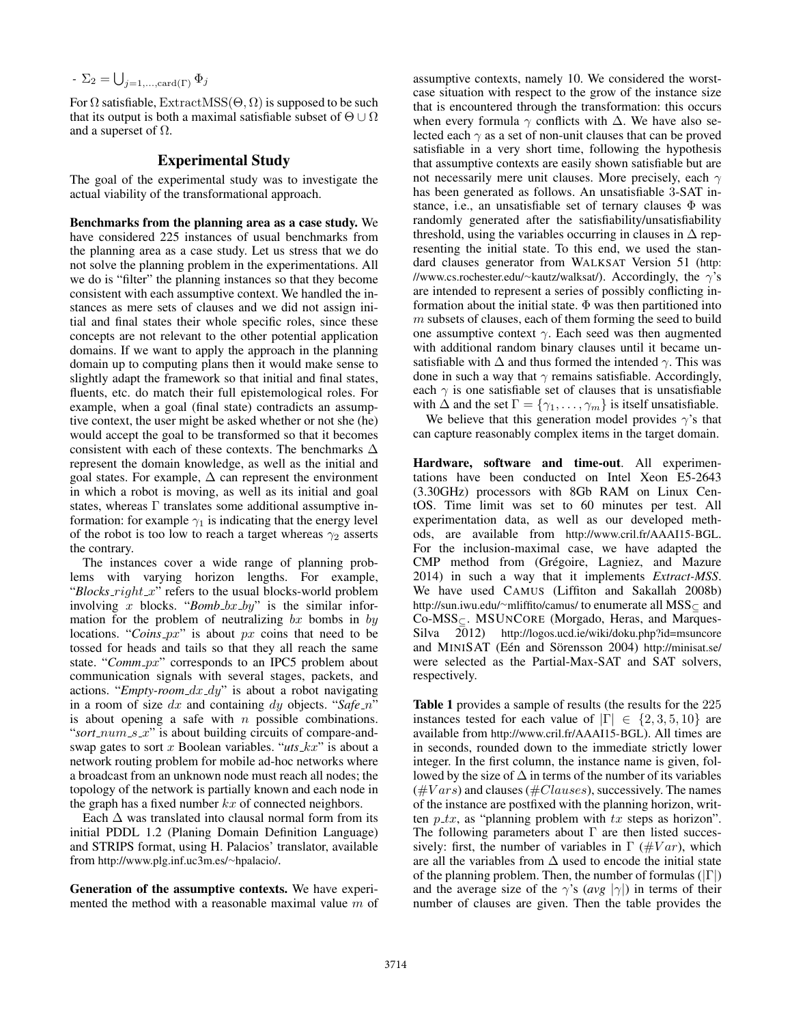$$
- \Sigma_2 = \bigcup_{j=1,\ldots,\text{card}(\Gamma)} \Phi_j
$$

For  $\Omega$  satisfiable, ExtractMSS( $\Theta$ ,  $\Omega$ ) is supposed to be such that its output is both a maximal satisfiable subset of  $\Theta \cup \Omega$ and a superset of  $\Omega$ .

## Experimental Study

The goal of the experimental study was to investigate the actual viability of the transformational approach.

Benchmarks from the planning area as a case study. We have considered 225 instances of usual benchmarks from the planning area as a case study. Let us stress that we do not solve the planning problem in the experimentations. All we do is "filter" the planning instances so that they become consistent with each assumptive context. We handled the instances as mere sets of clauses and we did not assign initial and final states their whole specific roles, since these concepts are not relevant to the other potential application domains. If we want to apply the approach in the planning domain up to computing plans then it would make sense to slightly adapt the framework so that initial and final states, fluents, etc. do match their full epistemological roles. For example, when a goal (final state) contradicts an assumptive context, the user might be asked whether or not she (he) would accept the goal to be transformed so that it becomes consistent with each of these contexts. The benchmarks  $\Delta$ represent the domain knowledge, as well as the initial and goal states. For example,  $\Delta$  can represent the environment in which a robot is moving, as well as its initial and goal states, whereas Γ translates some additional assumptive information: for example  $\gamma_1$  is indicating that the energy level of the robot is too low to reach a target whereas  $\gamma_2$  asserts the contrary.

The instances cover a wide range of planning problems with varying horizon lengths. For example, " $Blocks\_right\_x$ " refers to the usual blocks-world problem involving x blocks. " $Bomb_bx_by$ " is the similar information for the problem of neutralizing  $bx$  bombs in by locations. " $Coins$ <sub>-px</sub>" is about px coins that need to be tossed for heads and tails so that they all reach the same state. "*Comm\_px*" corresponds to an IPC5 problem about communication signals with several stages, packets, and actions. "*Empty-room\_dx\_dy*" is about a robot navigating in a room of size  $dx$  and containing  $dy$  objects. "*Safe\_n*" is about opening a safe with  $n$  possible combinations. "*sort\_num\_s\_x*" is about building circuits of compare-andswap gates to sort x Boolean variables. " $uts_k$ " is about a network routing problem for mobile ad-hoc networks where a broadcast from an unknown node must reach all nodes; the topology of the network is partially known and each node in the graph has a fixed number  $kx$  of connected neighbors.

Each  $\Delta$  was translated into clausal normal form from its initial PDDL 1.2 (Planing Domain Definition Language) and STRIPS format, using H. Palacios' translator, available from http://www.plg.inf.uc3m.es/∼hpalacio/.

Generation of the assumptive contexts. We have experimented the method with a reasonable maximal value  $m$  of

assumptive contexts, namely 10. We considered the worstcase situation with respect to the grow of the instance size that is encountered through the transformation: this occurs when every formula  $\gamma$  conflicts with  $\Delta$ . We have also selected each  $\gamma$  as a set of non-unit clauses that can be proved satisfiable in a very short time, following the hypothesis that assumptive contexts are easily shown satisfiable but are not necessarily mere unit clauses. More precisely, each  $\gamma$ has been generated as follows. An unsatisfiable 3-SAT instance, i.e., an unsatisfiable set of ternary clauses Φ was randomly generated after the satisfiability/unsatisfiability threshold, using the variables occurring in clauses in  $\Delta$  representing the initial state. To this end, we used the standard clauses generator from WALKSAT Version 51 (http: //www.cs.rochester.edu/∼kautz/walksat/). Accordingly, the  $\gamma$ 's are intended to represent a series of possibly conflicting information about the initial state.  $\Phi$  was then partitioned into  $m$  subsets of clauses, each of them forming the seed to build one assumptive context  $\gamma$ . Each seed was then augmented with additional random binary clauses until it became unsatisfiable with  $\Delta$  and thus formed the intended  $\gamma$ . This was done in such a way that  $\gamma$  remains satisfiable. Accordingly, each  $\gamma$  is one satisfiable set of clauses that is unsatisfiable with  $\Delta$  and the set  $\Gamma = {\gamma_1, \ldots, \gamma_m}$  is itself unsatisfiable.

We believe that this generation model provides  $\gamma$ 's that can capture reasonably complex items in the target domain.

Hardware, software and time-out. All experimentations have been conducted on Intel Xeon E5-2643 (3.30GHz) processors with 8Gb RAM on Linux CentOS. Time limit was set to 60 minutes per test. All experimentation data, as well as our developed methods, are available from http://www.cril.fr/AAAI15-BGL. For the inclusion-maximal case, we have adapted the CMP method from (Grégoire, Lagniez, and Mazure 2014) in such a way that it implements *Extract-MSS*. We have used CAMUS (Liffiton and Sakallah 2008b) http://sun.iwu.edu/∼mliffito/camus/ to enumerate all MSS<sup>⊆</sup> and Co-MSS⊆. MSUNCORE (Morgado, Heras, and Marques-Silva 2012) http://logos.ucd.ie/wiki/doku.php?id=msuncore and MINISAT (Eén and Sörensson 2004) http://minisat.se/ were selected as the Partial-Max-SAT and SAT solvers, respectively.

Table 1 provides a sample of results (the results for the 225 instances tested for each value of  $|\Gamma| \in \{2, 3, 5, 10\}$  are available from http://www.cril.fr/AAAI15-BGL). All times are in seconds, rounded down to the immediate strictly lower integer. In the first column, the instance name is given, followed by the size of  $\Delta$  in terms of the number of its variables  $(\#Vars)$  and clauses ( $\#Classes$ ), successively. The names of the instance are postfixed with the planning horizon, written  $p$ <sub>-tx</sub>, as "planning problem with tx steps as horizon". The following parameters about  $\Gamma$  are then listed successively: first, the number of variables in  $\Gamma$  (#Var), which are all the variables from  $\Delta$  used to encode the initial state of the planning problem. Then, the number of formulas  $(|\Gamma|)$ and the average size of the  $\gamma$ 's (*avg*  $|\gamma|$ ) in terms of their number of clauses are given. Then the table provides the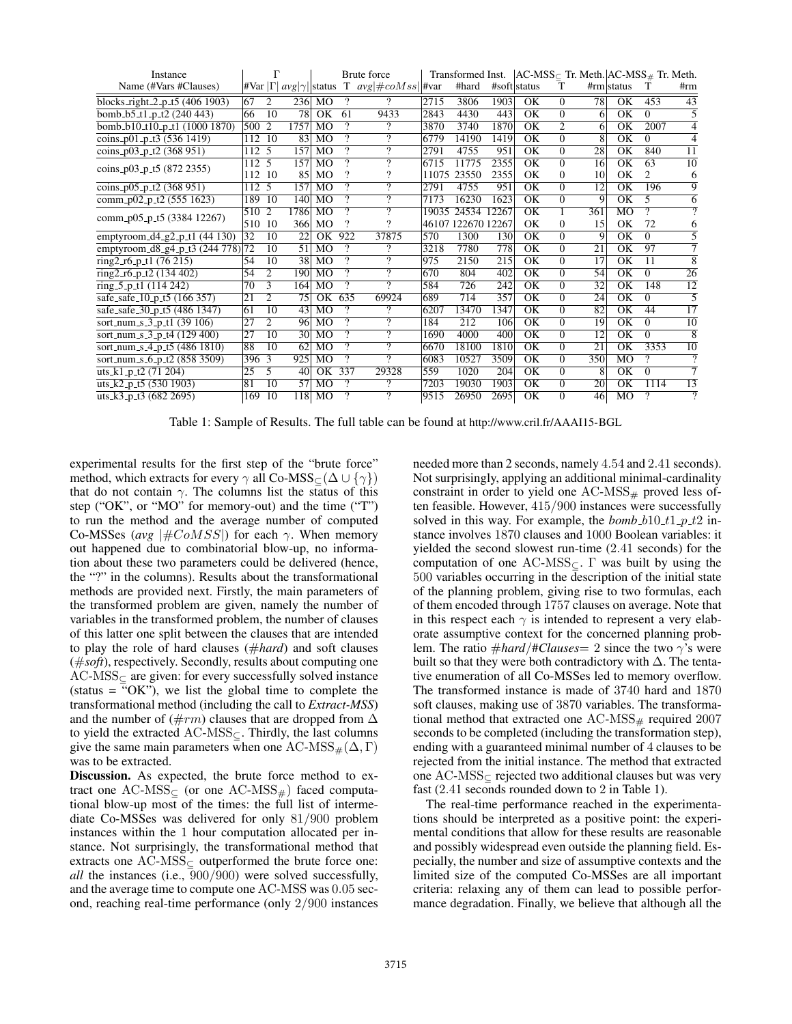| Instance                          |                   | г               |                                                    |                     |                          | Brute force              |       | Transformed Inst.  |                  |                        |                | $ AC\text{-MSS}_{\subset}$ Tr. Meth. $ AC\text{-MSS}_{\#}$ Tr. Meth. |                        |                |                     |
|-----------------------------------|-------------------|-----------------|----------------------------------------------------|---------------------|--------------------------|--------------------------|-------|--------------------|------------------|------------------------|----------------|----------------------------------------------------------------------|------------------------|----------------|---------------------|
| Name (#Vars #Clauses)             |                   |                 | $\frac{1}{2}$ War $ \Gamma $ avg $ \gamma $ status |                     |                          | T $avg \#coMss  $ #var   |       | #hard              |                  | #soft status           | т              |                                                                      | #rm  status            | T              | #rm                 |
| blocks_right_2_p_t5 (406 1903)    | 67                | 2               |                                                    | 236 MO              | ?                        | 9.                       | 2715  | 3806               | 1903             | OK                     | $\Omega$       | 78                                                                   | OK                     | 453            | $\overline{43}$     |
| bomb_b5_t1_p_t2 (240 443)         | 66                | 10              | 78                                                 | <b>OK</b>           | 61                       | 9433                     | 2843  | 4430               | 443              | $\overline{\text{OK}}$ | $\Omega$       | 6                                                                    | OK                     | $\Omega$       | 5                   |
| bomb_b10_t10_p_t1 (1000 1870)     | 500 2             |                 | 1757                                               | MO                  | ?                        | ?                        | 3870  | 3740               | 1870             | OK                     | 2              | 6                                                                    | OK                     | 2007           | 4                   |
| coins_p01_p_t3 (536 1419)         | 112               | 10              | 83                                                 | MO                  | $\overline{?}$           | ?                        | 6779  | 14190              | 1419             | $\overline{\text{OK}}$ | $\Omega$       | 8                                                                    | $\overline{\text{OK}}$ | $\Omega$       | 4                   |
| coins_p03_p_t2 (368 951)          | 112 <sub>5</sub>  |                 | 157                                                | $\overline{MO}$     | 7                        | $\overline{\mathcal{P}}$ | 2791  | 4755               | 951              | $\overline{\text{OK}}$ | $\overline{0}$ | 28                                                                   | $\overline{\rm OK}$    | 840            | $\overline{11}$     |
| coins_p03_p_t5 (872 2355)         | 112 5             |                 | 157                                                | MO                  | ?                        | $\mathcal{P}$            | 6715  | 11775              | 2355             | $\overline{\rm OK}$    | $\Omega$       | 16                                                                   | $\overline{\rm OK}$    | 63             | 10                  |
|                                   | 112               | 10              | 85                                                 | M <sub>O</sub>      | $\gamma$                 | 9                        | 11075 | 23550              | 2355             | OK                     | $\Omega$       | 10                                                                   | OK                     | 2              | 6                   |
| coins_p05_p_t2 $(368951)$         | $112\overline{5}$ |                 | 157                                                | MO                  | $\overline{?}$           | 7                        | 2791  | 4755               | 951              | $\overline{\rm OK}$    | $\Omega$       | $\overline{12}$                                                      | $\overline{\rm OK}$    | 196            | 9                   |
| comm_p02_p_t2 (555 1623)          | 189               | 10              | <b>140</b>                                         | MO                  | $\overline{\mathcal{P}}$ | ?                        | 7173  | 16230              | 1623             | OK                     | $\Omega$       | 9                                                                    | $\overline{\rm OK}$    | 5              | 6                   |
| comm_p05_p_t5 (3384 12267)        | 510               | $\overline{2}$  | 1786                                               | MO                  | ?                        | $\mathcal{P}$            | 19035 | 24534              | 12267            | OK                     |                | 361                                                                  | MO                     | ?              | $\Omega$            |
|                                   | 510               | 10              | 366                                                | MO                  | ?                        | າ                        |       | 46107 122670 12267 |                  | OK                     | $\Omega$       | 15                                                                   | OK                     | 72             | 6                   |
| emptyroom_d4_g2_p_t1 $(44 130)$   | 32                | $\overline{10}$ | 22                                                 | $\overline{\rm OK}$ | 922                      | 37875                    | 570   | 1300               | 130              | $\overline{\text{OK}}$ | $\overline{0}$ | 9                                                                    | $\overline{\text{OK}}$ | $\Omega$       | 5                   |
| emptyroom_d8_g4_p_t3 (244 778) 72 |                   | 10              | 51                                                 | MO                  | ?                        | 9                        | 3218  | 7780               | $\overline{778}$ | $\overline{\rm OK}$    | $\Omega$       | 21                                                                   | $\overline{\text{OK}}$ | 97             | 7                   |
| ring2_r6_p_t1 $(76215)$           | 54                | 10              | 38                                                 | MO                  | 7                        | 9                        | 975   | 2150               | 215              | OK                     | $\Omega$       | 17                                                                   | OK                     | 11             | 8                   |
| ring2_r6_p_t2 $(134 402)$         | 54                | 2               | 190                                                | MO                  | $\overline{?}$           | $\overline{\mathcal{L}}$ | 670   | 804                | 402              | $\overline{\rm OK}$    | $\Omega$       | 54                                                                   | $\overline{\rm OK}$    | $\Omega$       | $\overline{26}$     |
| ring $5-p-11$ (114 242)           | 70                | 3               | 164                                                | MO                  | $\gamma$                 | $\gamma$                 | 584   | 726                | 242              | $\overline{\text{OK}}$ | $\Omega$       | 32                                                                   | $\overline{\rm OK}$    | 148            | $\overline{12}$     |
| safe_safe_10_p_t5 (166 357)       | 21                | $\overline{2}$  | 75                                                 | OK                  | 635                      | 69924                    | 689   | 714                | 357              | OK                     | $\Omega$       | 24                                                                   | $\overline{\rm OK}$    | $\Omega$       | 5                   |
| safe_safe_30_p_t5 (486 1347)      | 61                | 10              | 43                                                 | M <sub>O</sub>      | ?                        | ?                        | 6207  | 13470              | 1347             | OK                     | $\Omega$       | 82                                                                   | $\overline{\text{OK}}$ | 44             | 17                  |
| sort_num_s_3_p_t1 $(39 106)$      | 27                | $\overline{2}$  | 96                                                 | $\overline{MO}$     | $\overline{?}$           | $\overline{?}$           | 184   | 212                | 106              | $\overline{\rm OK}$    | $\overline{0}$ | 19                                                                   | $\overline{\text{OK}}$ | $\overline{0}$ | $\overline{10}$     |
| sort_num_s_3_p_t4 (129 400)       | 27                | $\overline{10}$ | 30 <sup>l</sup>                                    | MO                  | 7                        | $\overline{\mathcal{P}}$ | 1690  | 4000               | 400              | $\overline{\rm OK}$    | $\Omega$       | 12                                                                   | $\overline{\text{OK}}$ | $\Omega$       | $\overline{8}$      |
| sort_num_s_4_p_t5 (486 1810)      | 88                | 10              | 62                                                 | <b>MO</b>           | ?                        | $\overline{\mathcal{P}}$ | 6670  | 18100              | 1810             | $\overline{\text{OK}}$ | $\overline{0}$ | 21                                                                   | OK                     | 3353           | $\overline{10}$     |
| sort_num_s_6_p_t2 (858 3509)      | 396 3             |                 | 925                                                | MO                  | ?                        | $\gamma$                 | 6083  | 10527              | 3509             | OK                     | $\Omega$       | 350                                                                  | <b>MO</b>              | ?              | $\mathcal{P}$       |
| uts_k1_p_t2 $(71 204)$            | 25                | 5               | 40                                                 | OK                  | 337                      | 29328                    | 559   | 1020               | 204              | $\overline{\text{OK}}$ | $\Omega$       | 8                                                                    | OK                     | $\Omega$       | 7                   |
| uts_k2_p_t5 $(5301903)$           | $\overline{81}$   | 10              | 57                                                 | MO                  | ?                        | $\gamma$                 | 7203  | 19030              | 1903             | $\overline{\rm OK}$    | $\Omega$       | 20                                                                   | $\overline{\rm OK}$    | 1114           | 13                  |
| uts_k3_p_t3 $(682 2695)$          | 169               | 10              | 118                                                | MO                  | ?                        | 2                        | 9515  | 26950              | 2695             | OK                     | $\Omega$       | 46                                                                   | MO                     | ?              | $\overline{\gamma}$ |

Table 1: Sample of Results. The full table can be found at http://www.cril.fr/AAAI15-BGL

experimental results for the first step of the "brute force" method, which extracts for every  $\gamma$  all Co-MSS $\subset (\Delta \cup {\gamma})$ that do not contain  $\gamma$ . The columns list the status of this step ("OK", or "MO" for memory-out) and the time ("T") to run the method and the average number of computed Co-MSSes (*avg*  $|\#CoMSS|$ ) for each  $\gamma$ . When memory out happened due to combinatorial blow-up, no information about these two parameters could be delivered (hence, the "?" in the columns). Results about the transformational methods are provided next. Firstly, the main parameters of the transformed problem are given, namely the number of variables in the transformed problem, the number of clauses of this latter one split between the clauses that are intended to play the role of hard clauses (#*hard*) and soft clauses (#*soft*), respectively. Secondly, results about computing one  $AC\text{-MSS}_{\subseteq}$  are given: for every successfully solved instance (status  $=$  "OK"), we list the global time to complete the transformational method (including the call to *Extract-MSS*) and the number of  $(\#rm)$  clauses that are dropped from  $\Delta$ to yield the extracted  $AC-MSS<sub>C</sub>$ . Thirdly, the last columns give the same main parameters when one  $AC\text{-MSS}_{#}(\Delta, \Gamma)$ was to be extracted.

Discussion. As expected, the brute force method to extract one AC-MSS $\subset$  (or one AC-MSS $_{\#}$ ) faced computational blow-up most of the times: the full list of intermediate Co-MSSes was delivered for only 81/900 problem instances within the 1 hour computation allocated per instance. Not surprisingly, the transformational method that extracts one AC-MSS<sup>⊆</sup> outperformed the brute force one: *all* the instances (i.e., 900/900) were solved successfully, and the average time to compute one AC-MSS was 0.05 second, reaching real-time performance (only 2/900 instances needed more than 2 seconds, namely 4.54 and 2.41 seconds). Not surprisingly, applying an additional minimal-cardinality constraint in order to yield one  $AC\text{-MSS}_{#}$  proved less often feasible. However, 415/900 instances were successfully solved in this way. For example, the  $bomb_b10_t1_p_21$  instance involves 1870 clauses and 1000 Boolean variables: it yielded the second slowest run-time (2.41 seconds) for the computation of one AC-MSS $\subset \Gamma$  was built by using the  $500$  variables occurring in the description of the initial state of the planning problem, giving rise to two formulas, each of them encoded through 1757 clauses on average. Note that in this respect each  $\gamma$  is intended to represent a very elaborate assumptive context for the concerned planning problem. The ratio  $\#hard/\#Classes = 2$  since the two  $\gamma$ 's were built so that they were both contradictory with  $\Delta$ . The tentative enumeration of all Co-MSSes led to memory overflow. The transformed instance is made of 3740 hard and 1870 soft clauses, making use of 3870 variables. The transformational method that extracted one  $AC\text{-MSS}_{\#}$  required 2007 seconds to be completed (including the transformation step), ending with a guaranteed minimal number of 4 clauses to be rejected from the initial instance. The method that extracted one AC-MSS<sup>⊆</sup> rejected two additional clauses but was very fast (2.41 seconds rounded down to 2 in Table 1).

The real-time performance reached in the experimentations should be interpreted as a positive point: the experimental conditions that allow for these results are reasonable and possibly widespread even outside the planning field. Especially, the number and size of assumptive contexts and the limited size of the computed Co-MSSes are all important criteria: relaxing any of them can lead to possible performance degradation. Finally, we believe that although all the